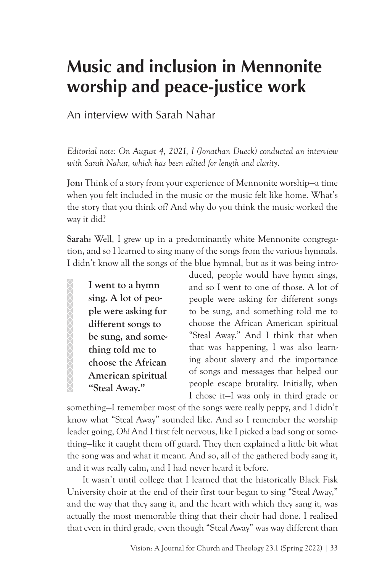# **Music and inclusion in Mennonite worship and peace-justice work**

An interview with Sarah Nahar

*Editorial note: On August 4, 2021, I (Jonathan Dueck) conducted an interview with Sarah Nahar, which has been edited for length and clarity*.

**Jon:** Think of a story from your experience of Mennonite worship—a time when you felt included in the music or the music felt like home. What's the story that you think of? And why do you think the music worked the way it did?

**Sarah:** Well, I grew up in a predominantly white Mennonite congregation, and so I learned to sing many of the songs from the various hymnals. I didn't know all the songs of the blue hymnal, but as it was being intro-

**I went to a hymn sing. A lot of people were asking for different songs to be sung, and something told me to choose the African American spiritual "Steal Away."**

XXXXXXXXXXXXXXXX

duced, people would have hymn sings, and so I went to one of those. A lot of people were asking for different songs to be sung, and something told me to choose the African American spiritual "Steal Away." And I think that when that was happening, I was also learning about slavery and the importance of songs and messages that helped our people escape brutality. Initially, when I chose it—I was only in third grade or

something—I remember most of the songs were really peppy, and I didn't know what "Steal Away" sounded like. And so I remember the worship leader going, *Oh!* And I first felt nervous, like I picked a bad song or something—like it caught them off guard. They then explained a little bit what the song was and what it meant. And so, all of the gathered body sang it, and it was really calm, and I had never heard it before.

It wasn't until college that I learned that the historically Black Fisk University choir at the end of their first tour began to sing "Steal Away," and the way that they sang it, and the heart with which they sang it, was actually the most memorable thing that their choir had done. I realized that even in third grade, even though "Steal Away" was way different than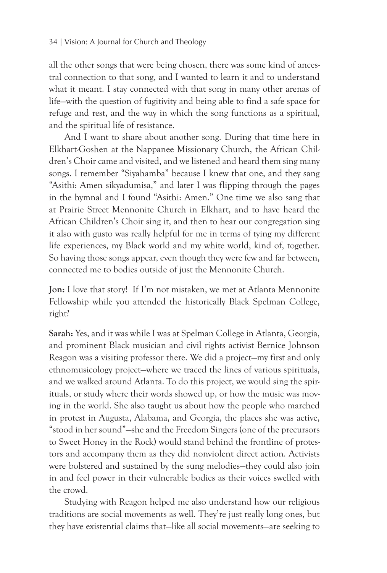all the other songs that were being chosen, there was some kind of ancestral connection to that song, and I wanted to learn it and to understand what it meant. I stay connected with that song in many other arenas of life—with the question of fugitivity and being able to find a safe space for refuge and rest, and the way in which the song functions as a spiritual, and the spiritual life of resistance.

And I want to share about another song. During that time here in Elkhart-Goshen at the Nappanee Missionary Church, the African Children's Choir came and visited, and we listened and heard them sing many songs. I remember "Siyahamba" because I knew that one, and they sang "Asithi: Amen sikyadumisa," and later I was flipping through the pages in the hymnal and I found "Asithi: Amen." One time we also sang that at Prairie Street Mennonite Church in Elkhart, and to have heard the African Children's Choir sing it, and then to hear our congregation sing it also with gusto was really helpful for me in terms of tying my different life experiences, my Black world and my white world, kind of, together. So having those songs appear, even though they were few and far between, connected me to bodies outside of just the Mennonite Church.

**Jon:** I love that story! If I'm not mistaken, we met at Atlanta Mennonite Fellowship while you attended the historically Black Spelman College, right?

**Sarah:** Yes, and it was while I was at Spelman College in Atlanta, Georgia, and prominent Black musician and civil rights activist Bernice Johnson Reagon was a visiting professor there. We did a project—my first and only ethnomusicology project—where we traced the lines of various spirituals, and we walked around Atlanta. To do this project, we would sing the spirituals, or study where their words showed up, or how the music was moving in the world. She also taught us about how the people who marched in protest in Augusta, Alabama, and Georgia, the places she was active, "stood in her sound"—she and the Freedom Singers (one of the precursors to Sweet Honey in the Rock) would stand behind the frontline of protestors and accompany them as they did nonviolent direct action. Activists were bolstered and sustained by the sung melodies—they could also join in and feel power in their vulnerable bodies as their voices swelled with the crowd.

Studying with Reagon helped me also understand how our religious traditions are social movements as well. They're just really long ones, but they have existential claims that—like all social movements—are seeking to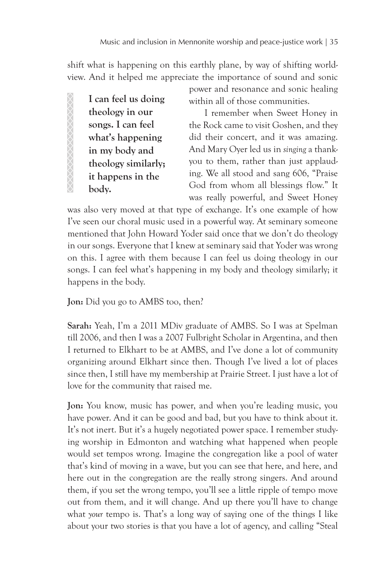shift what is happening on this earthly plane, by way of shifting worldview. And it helped me appreciate the importance of sound and sonic

**I can feel us doing theology in our songs. I can feel what's happening in my body and theology similarly; it happens in the body.**

within all of those communities.

power and resonance and sonic healing

I remember when Sweet Honey in the Rock came to visit Goshen, and they did their concert, and it was amazing. And Mary Oyer led us in *singing* a thankyou to them, rather than just applauding. We all stood and sang 606, "Praise God from whom all blessings flow." It was really powerful, and Sweet Honey

was also very moved at that type of exchange. It's one example of how I've seen our choral music used in a powerful way. At seminary someone mentioned that John Howard Yoder said once that we don't do theology in our songs. Everyone that I knew at seminary said that Yoder was wrong on this. I agree with them because I can feel us doing theology in our songs. I can feel what's happening in my body and theology similarly; it happens in the body.

**Jon:** Did you go to AMBS too, then?

**Sarah:** Yeah, I'm a 2011 MDiv graduate of AMBS. So I was at Spelman till 2006, and then I was a 2007 Fulbright Scholar in Argentina, and then I returned to Elkhart to be at AMBS, and I've done a lot of community organizing around Elkhart since then. Though I've lived a lot of places since then, I still have my membership at Prairie Street. I just have a lot of love for the community that raised me.

**Jon:** You know, music has power, and when you're leading music, you have power. And it can be good and bad, but you have to think about it. It's not inert. But it's a hugely negotiated power space. I remember studying worship in Edmonton and watching what happened when people would set tempos wrong. Imagine the congregation like a pool of water that's kind of moving in a wave, but you can see that here, and here, and here out in the congregation are the really strong singers. And around them, if you set the wrong tempo, you'll see a little ripple of tempo move out from them, and it will change. And up there you'll have to change what *your* tempo is. That's a long way of saying one of the things I like about your two stories is that you have a lot of agency, and calling "Steal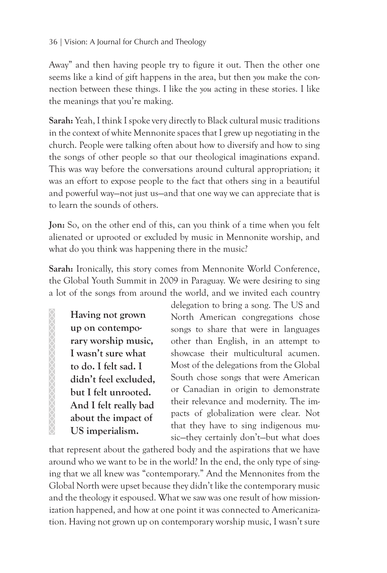### 36 | Vision: A Journal for Church and Theology

Away" and then having people try to figure it out. Then the other one seems like a kind of gift happens in the area, but then *you* make the connection between these things. I like the *you* acting in these stories. I like the meanings that you're making.

**Sarah:** Yeah, I think I spoke very directly to Black cultural music traditions in the context of white Mennonite spaces that I grew up negotiating in the church. People were talking often about how to diversify and how to sing the songs of other people so that our theological imaginations expand. This was way before the conversations around cultural appropriation; it was an effort to expose people to the fact that others sing in a beautiful and powerful way—not just us—and that one way we can appreciate that is to learn the sounds of others.

**Jon:** So, on the other end of this, can you think of a time when you felt alienated or uprooted or excluded by music in Mennonite worship, and what do you think was happening there in the music?

Sarah: Ironically, this story comes from Mennonite World Conference, the Global Youth Summit in 2009 in Paraguay. We were desiring to sing a lot of the songs from around the world, and we invited each country

**Having not grown up on contemporary worship music, I wasn't sure what to do. I felt sad. I didn't feel excluded, but I felt unrooted. And I felt really bad about the impact of US imperialism.**

delegation to bring a song. The US and North American congregations chose songs to share that were in languages other than English, in an attempt to showcase their multicultural acumen. Most of the delegations from the Global South chose songs that were American or Canadian in origin to demonstrate their relevance and modernity. The impacts of globalization were clear. Not that they have to sing indigenous music—they certainly don't—but what does

that represent about the gathered body and the aspirations that we have around who we want to be in the world? In the end, the only type of singing that we all knew was "contemporary." And the Mennonites from the Global North were upset because they didn't like the contemporary music and the theology it espoused. What we saw was one result of how missionization happened, and how at one point it was connected to Americanization. Having not grown up on contemporary worship music, I wasn't sure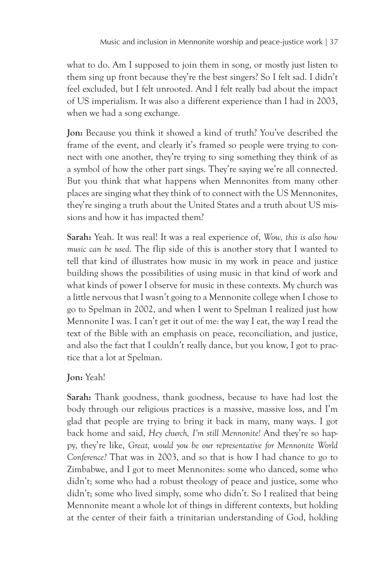what to do. Am I supposed to join them in song, or mostly just listen to them sing up front because they're the best singers? So I felt sad. I didn't feel excluded, but I felt unrooted. And I felt really bad about the impact of US imperialism. It was also a different experience than I had in 2003, when we had a song exchange.

**Jon:** Because you think it showed a kind of truth? You've described the frame of the event, and clearly it's framed so people were trying to connect with one another, they're trying to sing something they think of as a symbol of how the other part sings. They're saying we're all connected. But you think that what happens when Mennonites from many other places are singing what they think of to connect with the US Mennonites, they're singing a truth about the United States and a truth about US missions and how it has impacted them?

**Sarah:** Yeah. It was real! It was a real experience of, *Wow, this is also how music can be used*. The flip side of this is another story that I wanted to tell that kind of illustrates how music in my work in peace and justice building shows the possibilities of using music in that kind of work and what kinds of power I observe for music in these contexts. My church was a little nervous that I wasn't going to a Mennonite college when I chose to go to Spelman in 2002, and when I went to Spelman I realized just how Mennonite I was. I can't get it out of me: the way I eat, the way I read the text of the Bible with an emphasis on peace, reconciliation, and justice, and also the fact that I couldn't really dance, but you know, I got to practice that a lot at Spelman.

## **Jon:** Yeah!

**Sarah:** Thank goodness, thank goodness, because to have had lost the body through our religious practices is a massive, massive loss, and I'm glad that people are trying to bring it back in many, many ways. I got back home and said, *Hey church, I'm still Mennonite!* And they're so happy, they're like, *Great, would you be our representative for Mennonite World Conference?* That was in 2003, and so that is how I had chance to go to Zimbabwe, and I got to meet Mennonites: some who danced, some who didn't; some who had a robust theology of peace and justice, some who didn't; some who lived simply, some who didn't. So I realized that being Mennonite meant a whole lot of things in different contexts, but holding at the center of their faith a trinitarian understanding of God, holding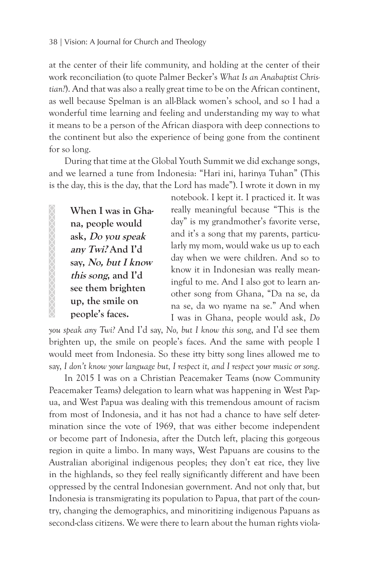at the center of their life community, and holding at the center of their work reconciliation (to quote Palmer Becker's *What Is an Anabaptist Christian?*). And that was also a really great time to be on the African continent, as well because Spelman is an all-Black women's school, and so I had a wonderful time learning and feeling and understanding my way to what it means to be a person of the African diaspora with deep connections to the continent but also the experience of being gone from the continent for so long.

During that time at the Global Youth Summit we did exchange songs, and we learned a tune from Indonesia: "Hari ini, harinya Tuhan" (This is the day, this is the day, that the Lord has made"). I wrote it down in my

**When I was in Ghana, people would ask, Do you speak any Twi? And I'd say, No, but I know this song, and I'd see them brighten up, the smile on people's faces.** 

notebook. I kept it. I practiced it. It was really meaningful because "This is the day" is my grandmother's favorite verse, and it's a song that my parents, particularly my mom, would wake us up to each day when we were children. And so to know it in Indonesian was really meaningful to me. And I also got to learn another song from Ghana, "Da na se, da na se, da wo nyame na se." And when I was in Ghana, people would ask, *Do* 

*you speak any Twi?* And I'd say, *No, but I know this song*, and I'd see them brighten up, the smile on people's faces. And the same with people I would meet from Indonesia. So these itty bitty song lines allowed me to say, *I don't know your language but, I respect it, and I respect your music or song*.

In 2015 I was on a Christian Peacemaker Teams (now Community Peacemaker Teams) delegation to learn what was happening in West Papua, and West Papua was dealing with this tremendous amount of racism from most of Indonesia, and it has not had a chance to have self determination since the vote of 1969, that was either become independent or become part of Indonesia, after the Dutch left, placing this gorgeous region in quite a limbo. In many ways, West Papuans are cousins to the Australian aboriginal indigenous peoples; they don't eat rice, they live in the highlands, so they feel really significantly different and have been oppressed by the central Indonesian government. And not only that, but Indonesia is transmigrating its population to Papua, that part of the country, changing the demographics, and minoritizing indigenous Papuans as second-class citizens. We were there to learn about the human rights viola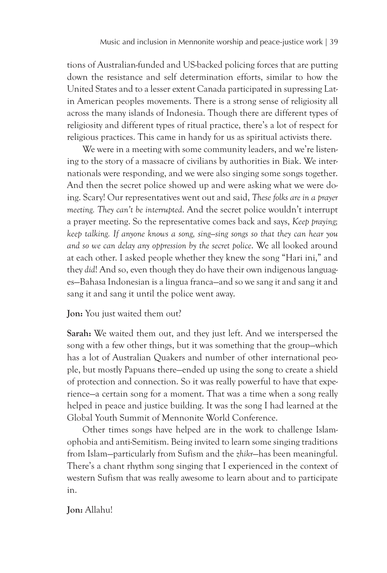tions of Australian-funded and US-backed policing forces that are putting down the resistance and self determination efforts, similar to how the United States and to a lesser extent Canada participated in supressing Latin American peoples movements. There is a strong sense of religiosity all across the many islands of Indonesia. Though there are different types of religiosity and different types of ritual practice, there's a lot of respect for religious practices. This came in handy for us as spiritual activists there.

We were in a meeting with some community leaders, and we're listening to the story of a massacre of civilians by authorities in Biak. We internationals were responding, and we were also singing some songs together. And then the secret police showed up and were asking what we were doing. Scary! Our representatives went out and said, *These folks are in a prayer meeting. They can't be interrupted*. And the secret police wouldn't interrupt a prayer meeting. So the representative comes back and says, *Keep praying; keep talking. If anyone knows a song, sing—sing songs so that they can hear you and so we can delay any oppression by the secret police*. We all looked around at each other. I asked people whether they knew the song "Hari ini," and they *did*! And so, even though they do have their own indigenous languages—Bahasa Indonesian is a lingua franca—and so we sang it and sang it and sang it and sang it until the police went away.

#### **Jon:** You just waited them out?

**Sarah:** We waited them out, and they just left. And we interspersed the song with a few other things, but it was something that the group—which has a lot of Australian Quakers and number of other international people, but mostly Papuans there—ended up using the song to create a shield of protection and connection. So it was really powerful to have that experience—a certain song for a moment. That was a time when a song really helped in peace and justice building. It was the song I had learned at the Global Youth Summit of Mennonite World Conference.

Other times songs have helped are in the work to challenge Islamophobia and anti-Semitism. Being invited to learn some singing traditions from Islam—particularly from Sufism and the *zhikr*—has been meaningful. There's a chant rhythm song singing that I experienced in the context of western Sufism that was really awesome to learn about and to participate in.

#### **Jon:** Allahu!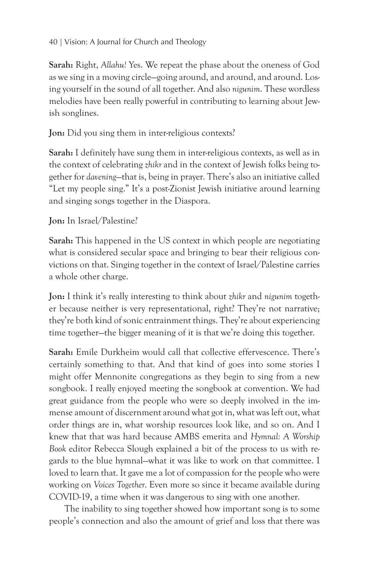## 40 | Vision: A Journal for Church and Theology

**Sarah:** Right, *Allahu!* Yes. We repeat the phase about the oneness of God as we sing in a moving circle—going around, and around, and around. Losing yourself in the sound of all together. And also *nigunim*. These wordless melodies have been really powerful in contributing to learning about Jewish songlines.

**Jon:** Did you sing them in inter-religious contexts?

**Sarah:** I definitely have sung them in inter-religious contexts, as well as in the context of celebrating *zhikr* and in the context of Jewish folks being together for *davening*—that is, being in prayer. There's also an initiative called "Let my people sing." It's a post-Zionist Jewish initiative around learning and singing songs together in the Diaspora.

## **Jon:** In Israel/Palestine?

**Sarah:** This happened in the US context in which people are negotiating what is considered secular space and bringing to bear their religious convictions on that. Singing together in the context of Israel/Palestine carries a whole other charge.

**Jon:** I think it's really interesting to think about *zhikr* and *nigunim* together because neither is very representational, right? They're not narrative; they're both kind of sonic entrainment things. They're about experiencing time together—the bigger meaning of it is that we're doing this together.

**Sarah:** Emile Durkheim would call that collective effervescence. There's certainly something to that. And that kind of goes into some stories I might offer Mennonite congregations as they begin to sing from a new songbook. I really enjoyed meeting the songbook at convention. We had great guidance from the people who were so deeply involved in the immense amount of discernment around what got in, what was left out, what order things are in, what worship resources look like, and so on. And I knew that that was hard because AMBS emerita and *Hymnal: A Worship Book* editor Rebecca Slough explained a bit of the process to us with regards to the blue hymnal—what it was like to work on that committee. I loved to learn that. It gave me a lot of compassion for the people who were working on *Voices Together*. Even more so since it became available during COVID-19, a time when it was dangerous to sing with one another.

The inability to sing together showed how important song is to some people's connection and also the amount of grief and loss that there was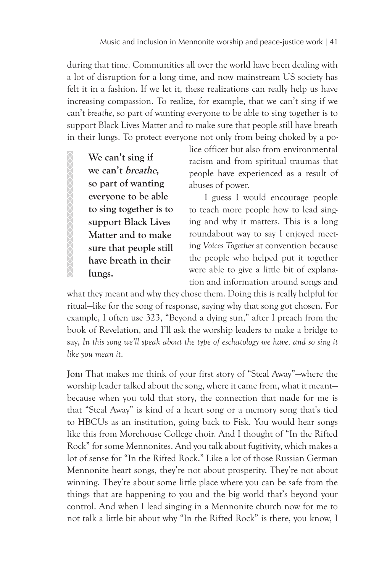during that time. Communities all over the world have been dealing with a lot of disruption for a long time, and now mainstream US society has felt it in a fashion. If we let it, these realizations can really help us have increasing compassion. To realize, for example, that we can't sing if we can't *breathe*, so part of wanting everyone to be able to sing together is to support Black Lives Matter and to make sure that people still have breath in their lungs. To protect everyone not only from being choked by a po-

**We can't sing if we can't breathe, so part of wanting everyone to be able to sing together is to support Black Lives Matter and to make sure that people still have breath in their lungs.**

XXXXXXXXXXXXXXXXXXX

lice officer but also from environmental racism and from spiritual traumas that people have experienced as a result of abuses of power.

I guess I would encourage people to teach more people how to lead singing and why it matters. This is a long roundabout way to say I enjoyed meeting *Voices Together* at convention because the people who helped put it together were able to give a little bit of explanation and information around songs and

what they meant and why they chose them. Doing this is really helpful for ritual—like for the song of response, saying why that song got chosen. For example, I often use 323, "Beyond a dying sun," after I preach from the book of Revelation, and I'll ask the worship leaders to make a bridge to say, *In this song we'll speak about the type of eschatology we have, and so sing it like you mean it*.

**Jon:** That makes me think of your first story of "Steal Away"—where the worship leader talked about the song, where it came from, what it meant because when you told that story, the connection that made for me is that "Steal Away" is kind of a heart song or a memory song that's tied to HBCUs as an institution, going back to Fisk. You would hear songs like this from Morehouse College choir. And I thought of "In the Rifted Rock" for some Mennonites. And you talk about fugitivity, which makes a lot of sense for "In the Rifted Rock." Like a lot of those Russian German Mennonite heart songs, they're not about prosperity. They're not about winning. They're about some little place where you can be safe from the things that are happening to you and the big world that's beyond your control. And when I lead singing in a Mennonite church now for me to not talk a little bit about why "In the Rifted Rock" is there, you know, I